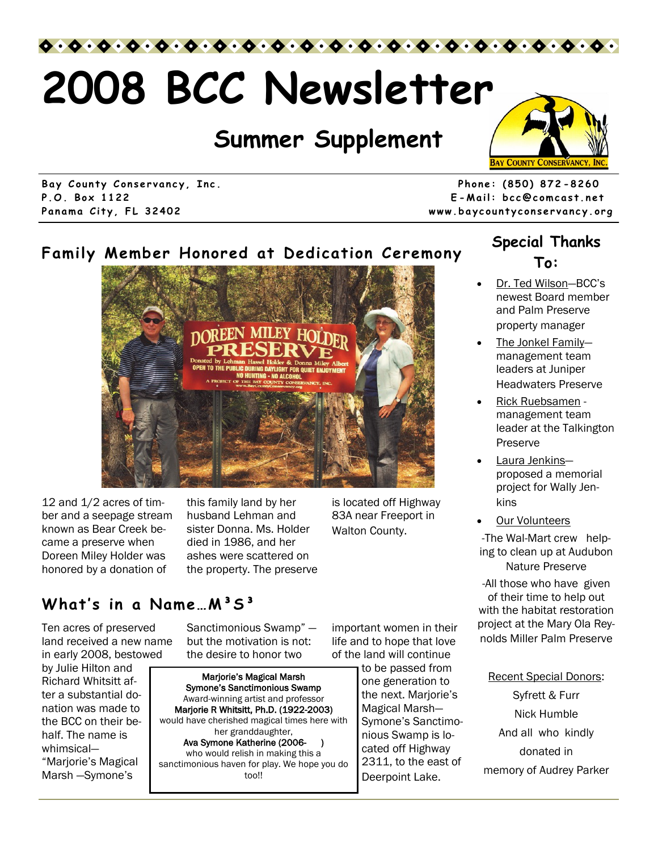

# **2008 BCC Newsletter**

## **Summer Supplement**



**Bay County Conservancy, Inc. 1988 1998 1999 1999 1999 1999 1999 1999 1999 1999 1999 1999 1999 1999 1999 1999 1999 1999 1999 1999 1999 1999 1999 1999 1999 1999 1999 1 P . O . B o x 1 1 2 2 E - M a i l : b c c@ c o m c a s t . n e t**  Panama City, FL 32402 **but a matter of the contract of the set of the set of the set of the set of the set of the set of the set of the set of the set of the set of the set of the set of the set of the set of the set of th** 

## Family Member Honored at Dedication Ceremony



12 and 1/2 acres of timber and a seepage stream known as Bear Creek became a preserve when Doreen Miley Holder was honored by a donation of

this family land by her husband Lehman and sister Donna. Ms. Holder died in 1986, and her ashes were scattered on the property. The preserve

is located off Highway 83A near Freeport in Walton County.

### **What's in a Name…M³S³**

Ten acres of preserved land received a new name in early 2008, bestowed

by Julie Hilton and Richard Whitsitt after a substantial donation was made to the BCC on their behalf. The name is whimsical— "Marjorie's Magical Marsh —Symone's

Sanctimonious Swamp" but the motivation is not: the desire to honor two

Marjorie's Magical Marsh Symone's Sanctimonious Swamp Award-winning artist and professor Marjorie R Whitsitt, Ph.D. (1922-2003) would have cherished magical times here with her granddaughter, Ava Symone Katherine (2006- ) who would relish in making this a sanctimonious haven for play. We hope you do too!!

important women in their life and to hope that love of the land will continue

> to be passed from one generation to the next. Marjorie's Magical Marsh— Symone's Sanctimonious Swamp is located off Highway 2311, to the east of Deerpoint Lake.

## **Special Thanks To:**

- Dr. Ted Wilson—BCC's newest Board member and Palm Preserve property manager
- The Jonkel Family management team leaders at Juniper Headwaters Preserve
- Rick Ruebsamen management team leader at the Talkington Preserve
- Laura Jenkins proposed a memorial project for Wally Jenkins
- Our Volunteers -The Wal-Mart crew helping to clean up at Audubon Nature Preserve

-All those who have given of their time to help out with the habitat restoration project at the Mary Ola Reynolds Miller Palm Preserve

Recent Special Donors: Syfrett & Furr Nick Humble And all who kindly donated in memory of Audrey Parker